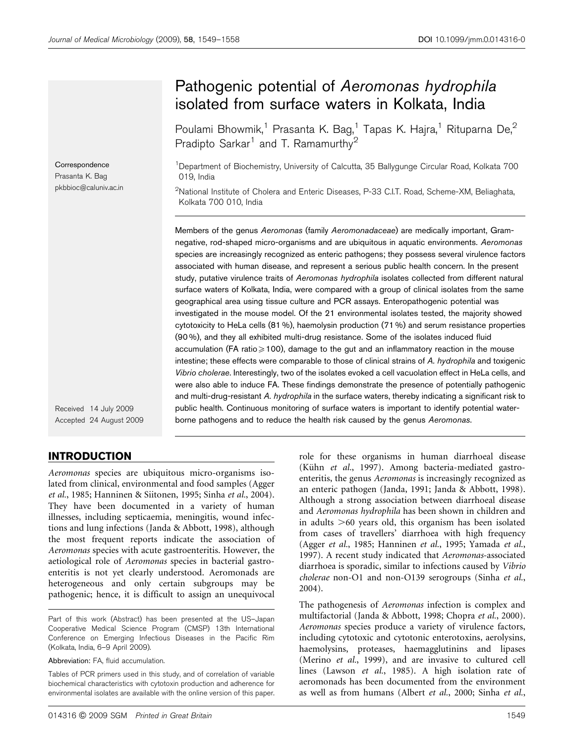Correspondence Prasanta K. Bag pkbbioc@caluniv.ac.in

Received 14 July 2009 Accepted 24 August 2009

## INTRODUCTION

Aeromonas species are ubiquitous micro-organisms isolated from clinical, environmental and food samples (Agger et al., 1985; Hanninen & Siitonen, 1995; Sinha et al., 2004). They have been documented in a variety of human illnesses, including septicaemia, meningitis, wound infections and lung infections (Janda & Abbott, 1998), although the most frequent reports indicate the association of Aeromonas species with acute gastroenteritis. However, the aetiological role of Aeromonas species in bacterial gastroenteritis is not yet clearly understood. Aeromonads are heterogeneous and only certain subgroups may be pathogenic; hence, it is difficult to assign an unequivocal

# Pathogenic potential of Aeromonas hydrophila

isolated from surface waters in Kolkata, India

Poulami Bhowmik,<sup>1</sup> Prasanta K. Bag,<sup>1</sup> Tapas K. Hajra,<sup>1</sup> Rituparna De,<sup>2</sup> Pradipto Sarkar<sup>1</sup> and T. Ramamurthy<sup>2</sup>

<sup>1</sup>Department of Biochemistry, University of Calcutta, 35 Ballygunge Circular Road, Kolkata 700 019, India

 $^2$ National Institute of Cholera and Enteric Diseases, P-33 C.I.T. Road, Scheme-XM, Beliaghata, Kolkata 700 010, India

Members of the genus Aeromonas (family Aeromonadaceae) are medically important, Gramnegative, rod-shaped micro-organisms and are ubiquitous in aquatic environments. Aeromonas species are increasingly recognized as enteric pathogens; they possess several virulence factors associated with human disease, and represent a serious public health concern. In the present study, putative virulence traits of Aeromonas hydrophila isolates collected from different natural surface waters of Kolkata, India, were compared with a group of clinical isolates from the same geographical area using tissue culture and PCR assays. Enteropathogenic potential was investigated in the mouse model. Of the 21 environmental isolates tested, the majority showed cytotoxicity to HeLa cells (81 %), haemolysin production (71 %) and serum resistance properties (90 %), and they all exhibited multi-drug resistance. Some of the isolates induced fluid accumulation (FA ratio $\geq 100$ ), damage to the gut and an inflammatory reaction in the mouse intestine; these effects were comparable to those of clinical strains of A. hydrophila and toxigenic Vibrio cholerae. Interestingly, two of the isolates evoked a cell vacuolation effect in HeLa cells, and were also able to induce FA. These findings demonstrate the presence of potentially pathogenic and multi-drug-resistant A. hydrophila in the surface waters, thereby indicating a significant risk to public health. Continuous monitoring of surface waters is important to identify potential waterborne pathogens and to reduce the health risk caused by the genus Aeromonas.

> role for these organisms in human diarrhoeal disease (Kühn et al., 1997). Among bacteria-mediated gastroenteritis, the genus Aeromonas is increasingly recognized as an enteric pathogen (Janda, 1991; Janda & Abbott, 1998). Although a strong association between diarrhoeal disease and Aeromonas hydrophila has been shown in children and in adults  $>60$  years old, this organism has been isolated from cases of travellers' diarrhoea with high frequency (Agger et al., 1985; Hanninen et al., 1995; Yamada et al., 1997). A recent study indicated that Aeromonas-associated diarrhoea is sporadic, similar to infections caused by Vibrio cholerae non-O1 and non-O139 serogroups (Sinha et al., 2004).

> The pathogenesis of Aeromonas infection is complex and multifactorial (Janda & Abbott, 1998; Chopra et al., 2000). Aeromonas species produce a variety of virulence factors, including cytotoxic and cytotonic enterotoxins, aerolysins, haemolysins, proteases, haemagglutinins and lipases (Merino et al., 1999), and are invasive to cultured cell lines (Lawson et al., 1985). A high isolation rate of aeromonads has been documented from the environment as well as from humans (Albert et al., 2000; Sinha et al.,

Part of this work (Abstract) has been presented at the US–Japan Cooperative Medical Science Program (CMSP) 13th International Conference on Emerging Infectious Diseases in the Pacific Rim (Kolkata, India, 6–9 April 2009).

Abbreviation: FA, fluid accumulation.

Tables of PCR primers used in this study, and of correlation of variable biochemical characteristics with cytotoxin production and adherence for environmental isolates are available with the online version of this paper.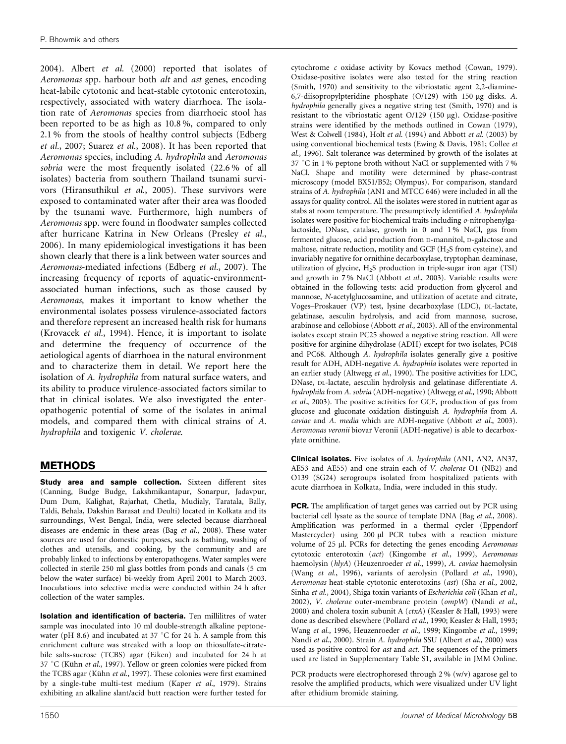2004). Albert et al. (2000) reported that isolates of Aeromonas spp. harbour both alt and ast genes, encoding heat-labile cytotonic and heat-stable cytotonic enterotoxin, respectively, associated with watery diarrhoea. The isolation rate of Aeromonas species from diarrhoeic stool has been reported to be as high as 10.8 %, compared to only 2.1 % from the stools of healthy control subjects (Edberg et al., 2007; Suarez et al., 2008). It has been reported that Aeromonas species, including A. hydrophila and Aeromonas sobria were the most frequently isolated (22.6 % of all isolates) bacteria from southern Thailand tsunami survivors (Hiransuthikul et al., 2005). These survivors were exposed to contaminated water after their area was flooded by the tsunami wave. Furthermore, high numbers of Aeromonas spp. were found in floodwater samples collected after hurricane Katrina in New Orleans (Presley et al., 2006). In many epidemiological investigations it has been shown clearly that there is a link between water sources and Aeromonas-mediated infections (Edberg et al., 2007). The increasing frequency of reports of aquatic-environmentassociated human infections, such as those caused by Aeromonas, makes it important to know whether the environmental isolates possess virulence-associated factors and therefore represent an increased health risk for humans (Krovacek et al., 1994). Hence, it is important to isolate and determine the frequency of occurrence of the aetiological agents of diarrhoea in the natural environment and to characterize them in detail. We report here the isolation of A. hydrophila from natural surface waters, and its ability to produce virulence-associated factors similar to that in clinical isolates. We also investigated the enteropathogenic potential of some of the isolates in animal models, and compared them with clinical strains of A. hydrophila and toxigenic V. cholerae.

## METHODS

Study area and sample collection. Sixteen different sites (Canning, Budge Budge, Lakshmikantapur, Sonarpur, Jadavpur, Dum Dum, Kalighat, Rajarhat, Chetla, Mudialy, Taratala, Bally, Taldi, Behala, Dakshin Barasat and Deulti) located in Kolkata and its surroundings, West Bengal, India, were selected because diarrhoeal diseases are endemic in these areas (Bag et al., 2008). These water sources are used for domestic purposes, such as bathing, washing of clothes and utensils, and cooking, by the community and are probably linked to infections by enteropathogens. Water samples were collected in sterile 250 ml glass bottles from ponds and canals (5 cm below the water surface) bi-weekly from April 2001 to March 2003. Inoculations into selective media were conducted within 24 h after collection of the water samples.

Isolation and identification of bacteria. Ten millilitres of water sample was inoculated into 10 ml double-strength alkaline peptonewater (pH 8.6) and incubated at 37  $\degree$ C for 24 h. A sample from this enrichment culture was streaked with a loop on thiosulfate-citratebile salts-sucrose (TCBS) agar (Eiken) and incubated for 24 h at 37 °C (Kühn et al., 1997). Yellow or green colonies were picked from the TCBS agar (Kühn et al., 1997). These colonies were first examined by a single-tube multi-test medium (Kaper et al., 1979). Strains exhibiting an alkaline slant/acid butt reaction were further tested for

cytochrome c oxidase activity by Kovacs method (Cowan, 1979). Oxidase-positive isolates were also tested for the string reaction (Smith, 1970) and sensitivity to the vibriostatic agent 2,2-diamine-6,7-diisopropylpteridine phosphate  $(O/129)$  with 150 µg disks. A. hydrophila generally gives a negative string test (Smith, 1970) and is resistant to the vibriostatic agent O/129 (150 mg). Oxidase-positive strains were identified by the methods outlined in Cowan (1979), West & Colwell (1984), Holt et al. (1994) and Abbott et al. (2003) by using conventional biochemical tests (Ewing & Davis, 1981; Collee et al., 1996). Salt tolerance was determined by growth of the isolates at 37 °C in 1% peptone broth without NaCl or supplemented with 7% NaCl. Shape and motility were determined by phase-contrast microscopy (model BX51/B52; Olympus). For comparison, standard strains of A. hydrophila (AN1 and MTCC 646) were included in all the assays for quality control. All the isolates were stored in nutrient agar as stabs at room temperature. The presumptively identified A. hydrophila isolates were positive for biochemical traits including o-nitrophenylgalactoside, DNase, catalase, growth in 0 and 1 % NaCl, gas from fermented glucose, acid production from D-mannitol, D-galactose and maltose, nitrate reduction, motility and GCF ( $H_2S$  from cysteine), and invariably negative for ornithine decarboxylase, tryptophan deaminase, utilization of glycine, H2S production in triple-sugar iron agar (TSI) and growth in 7 % NaCl (Abbott et al., 2003). Variable results were obtained in the following tests: acid production from glycerol and mannose, N-acetylglucosamine, and utilization of acetate and citrate, Voges–Proskauer (VP) test, lysine decarboxylase (LDC), DL-lactate, gelatinase, aesculin hydrolysis, and acid from mannose, sucrose, arabinose and cellobiose (Abbott et al., 2003). All of the environmental isolates except strain PC25 showed a negative string reaction. All were positive for arginine dihydrolase (ADH) except for two isolates, PC48 and PC68. Although A. hydrophila isolates generally give a positive result for ADH, ADH-negative A. hydrophila isolates were reported in an earlier study (Altwegg et al., 1990). The positive activities for LDC, DNase, DL-lactate, aesculin hydrolysis and gelatinase differentiate A. hydrophila from A. sobria (ADH-negative) (Altwegg et al., 1990; Abbott et al., 2003). The positive activities for GCF, production of gas from glucose and gluconate oxidation distinguish A. hydrophila from A. caviae and A. media which are ADH-negative (Abbott et al., 2003). Aeromonas veronii biovar Veronii (ADH-negative) is able to decarboxylate ornithine.

Clinical isolates. Five isolates of A. hydrophila (AN1, AN2, AN37, AE53 and AE55) and one strain each of V. cholerae O1 (NB2) and O139 (SG24) serogroups isolated from hospitalized patients with acute diarrhoea in Kolkata, India, were included in this study.

PCR. The amplification of target genes was carried out by PCR using bacterial cell lysate as the source of template DNA (Bag et al., 2008). Amplification was performed in a thermal cycler (Eppendorf Mastercycler) using 200 µl PCR tubes with a reaction mixture volume of 25 µl. PCRs for detecting the genes encoding Aeromonas cytotoxic enterotoxin (act) (Kingombe et al., 1999), Aeromonas haemolysin (hlyA) (Heuzenroeder et al., 1999), A. caviae haemolysin (Wang et al., 1996), variants of aerolysin (Pollard et al., 1990), Aeromonas heat-stable cytotonic enterotoxins (ast) (Sha et al., 2002, Sinha et al., 2004), Shiga toxin variants of Escherichia coli (Khan et al., 2002), V. cholerae outer-membrane protein (ompW) (Nandi et al., 2000) and cholera toxin subunit A (ctxA) (Keasler & Hall, 1993) were done as described elsewhere (Pollard et al., 1990; Keasler & Hall, 1993; Wang et al., 1996, Heuzenroeder et al., 1999; Kingombe et al., 1999; Nandi et al., 2000). Strain A. hydrophila SSU (Albert et al., 2000) was used as positive control for ast and act. The sequences of the primers used are listed in Supplementary Table S1, available in JMM Online.

PCR products were electrophoresed through 2 % (w/v) agarose gel to resolve the amplified products, which were visualized under UV light after ethidium bromide staining.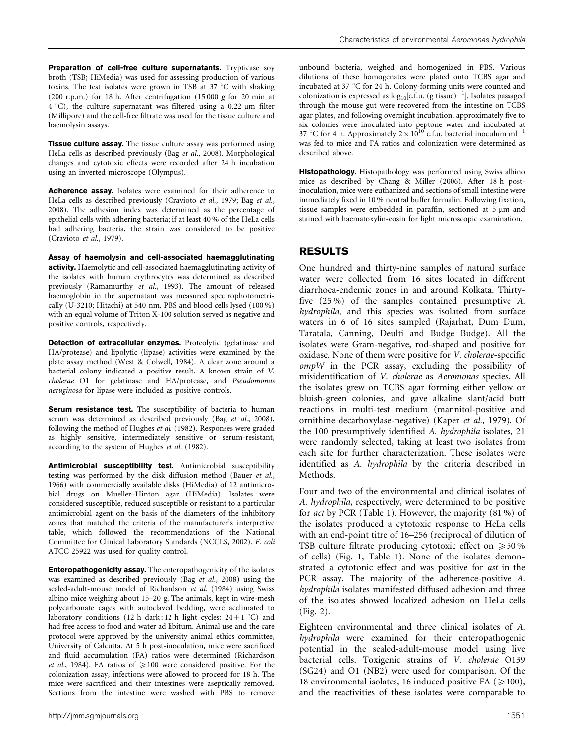Preparation of cell-free culture supernatants. Trypticase soy broth (TSB; HiMedia) was used for assessing production of various toxins. The test isolates were grown in TSB at 37  $^{\circ}$ C with shaking (200 r.p.m.) for 18 h. After centrifugation (15000  $g$  for 20 min at  $4 °C$ ), the culture supernatant was filtered using a 0.22  $\mu$ m filter (Millipore) and the cell-free filtrate was used for the tissue culture and haemolysin assays.

**Tissue culture assay.** The tissue culture assay was performed using HeLa cells as described previously (Bag et al., 2008). Morphological changes and cytotoxic effects were recorded after 24 h incubation using an inverted microscope (Olympus).

Adherence assay. Isolates were examined for their adherence to HeLa cells as described previously (Cravioto et al., 1979; Bag et al., 2008). The adhesion index was determined as the percentage of epithelial cells with adhering bacteria; if at least 40 % of the HeLa cells had adhering bacteria, the strain was considered to be positive (Cravioto et al., 1979).

Assay of haemolysin and cell-associated haemagglutinating activity. Haemolytic and cell-associated haemagglutinating activity of the isolates with human erythrocytes was determined as described previously (Ramamurthy et al., 1993). The amount of released haemoglobin in the supernatant was measured spectrophotometrically (U-3210; Hitachi) at 540 nm. PBS and blood cells lysed (100 %) with an equal volume of Triton X-100 solution served as negative and positive controls, respectively.

Detection of extracellular enzymes. Proteolytic (gelatinase and HA/protease) and lipolytic (lipase) activities were examined by the plate assay method (West & Colwell, 1984). A clear zone around a bacterial colony indicated a positive result. A known strain of V. cholerae O1 for gelatinase and HA/protease, and Pseudomonas aeruginosa for lipase were included as positive controls.

Serum resistance test. The susceptibility of bacteria to human serum was determined as described previously (Bag et al., 2008), following the method of Hughes et al. (1982). Responses were graded as highly sensitive, intermediately sensitive or serum-resistant, according to the system of Hughes et al. (1982).

Antimicrobial susceptibility test. Antimicrobial susceptibility testing was performed by the disk diffusion method (Bauer et al., 1966) with commercially available disks (HiMedia) of 12 antimicrobial drugs on Mueller–Hinton agar (HiMedia). Isolates were considered susceptible, reduced susceptible or resistant to a particular antimicrobial agent on the basis of the diameters of the inhibitory zones that matched the criteria of the manufacturer's interpretive table, which followed the recommendations of the National Committee for Clinical Laboratory Standards (NCCLS, 2002). E. coli ATCC 25922 was used for quality control.

Enteropathogenicity assay. The enteropathogenicity of the isolates was examined as described previously (Bag et al., 2008) using the sealed-adult-mouse model of Richardson et al. (1984) using Swiss albino mice weighing about 15–20 g. The animals, kept in wire-mesh polycarbonate cages with autoclaved bedding, were acclimated to laboratory conditions (12 h dark: 12 h light cycles;  $24 \pm 1$  °C) and had free access to food and water ad libitum. Animal use and the care protocol were approved by the university animal ethics committee, University of Calcutta. At 5 h post-inoculation, mice were sacrificed and fluid accumulation (FA) ratios were determined (Richardson et al., 1984). FA ratios of  $\geq 100$  were considered positive. For the colonization assay, infections were allowed to proceed for 18 h. The mice were sacrificed and their intestines were aseptically removed. Sections from the intestine were washed with PBS to remove

unbound bacteria, weighed and homogenized in PBS. Various dilutions of these homogenates were plated onto TCBS agar and incubated at 37 °C for 24 h. Colony-forming units were counted and colonization is expressed as  $log_{10}[c.f.u. (g tissue)^{-1}]$ . Isolates passaged through the mouse gut were recovered from the intestine on TCBS agar plates, and following overnight incubation, approximately five to six colonies were inoculated into peptone water and incubated at 37 °C for 4 h. Approximately  $2 \times 10^{10}$  c.f.u. bacterial inoculum ml<sup>-1</sup> was fed to mice and FA ratios and colonization were determined as described above.

Histopathology. Histopathology was performed using Swiss albino mice as described by Chang & Miller (2006). After 18 h postinoculation, mice were euthanized and sections of small intestine were immediately fixed in 10 % neutral buffer formalin. Following fixation, tissue samples were embedded in paraffin, sectioned at  $5 \mu m$  and stained with haematoxylin-eosin for light microscopic examination.

## RESULTS

One hundred and thirty-nine samples of natural surface water were collected from 16 sites located in different diarrhoea-endemic zones in and around Kolkata. Thirtyfive (25 %) of the samples contained presumptive A. hydrophila, and this species was isolated from surface waters in 6 of 16 sites sampled (Rajarhat, Dum Dum, Taratala, Canning, Deulti and Budge Budge). All the isolates were Gram-negative, rod-shaped and positive for oxidase. None of them were positive for V. cholerae-specific ompW in the PCR assay, excluding the possibility of misidentification of V. cholerae as Aeromonas species. All the isolates grew on TCBS agar forming either yellow or bluish-green colonies, and gave alkaline slant/acid butt reactions in multi-test medium (mannitol-positive and ornithine decarboxylase-negative) (Kaper et al., 1979). Of the 100 presumptively identified A. hydrophila isolates, 21 were randomly selected, taking at least two isolates from each site for further characterization. These isolates were identified as A. hydrophila by the criteria described in Methods.

Four and two of the environmental and clinical isolates of A. hydrophila, respectively, were determined to be positive for act by PCR (Table 1). However, the majority (81 %) of the isolates produced a cytotoxic response to HeLa cells with an end-point titre of 16–256 (reciprocal of dilution of TSB culture filtrate producing cytotoxic effect on  $\geq 50\%$ of cells) (Fig. 1, Table 1). None of the isolates demonstrated a cytotonic effect and was positive for ast in the PCR assay. The majority of the adherence-positive A. hydrophila isolates manifested diffused adhesion and three of the isolates showed localized adhesion on HeLa cells (Fig. 2).

Eighteen environmental and three clinical isolates of A. hydrophila were examined for their enteropathogenic potential in the sealed-adult-mouse model using live bacterial cells. Toxigenic strains of V. cholerae O139 (SG24) and O1 (NB2) were used for comparison. Of the 18 environmental isolates, 16 induced positive FA ( $\geq$ 100), and the reactivities of these isolates were comparable to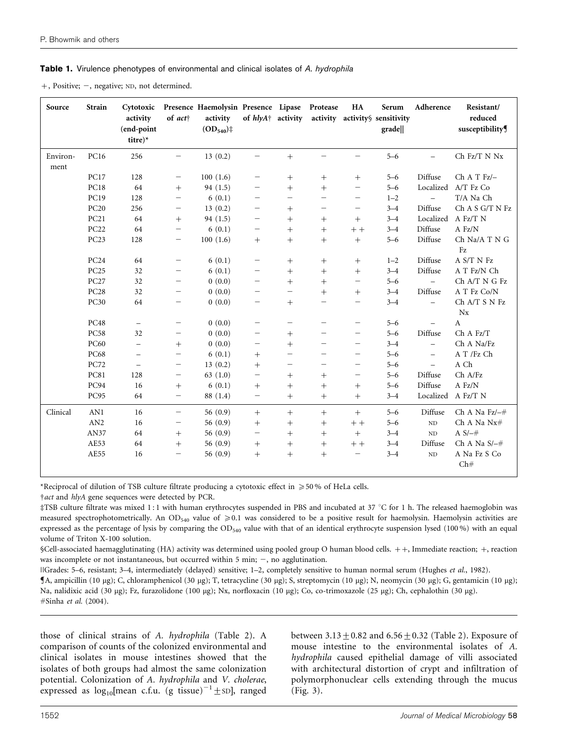#### Table 1. Virulence phenotypes of environmental and clinical isolates of A. hydrophila

+, Positive; -, negative; ND, not determined.

| Source           | <b>Strain</b>    | Cytotoxic<br>activity<br>(end-point<br>titre)* | of $act+$                | Presence Haemolysin Presence Lipase<br>activity<br>$(OD_{540})$ ‡ | of hlyA <sup>+</sup> activity |                          | Protease                         | HA                       | Serum<br>activity activity§ sensitivity<br>grade | Adherence                | Resistant/<br>reduced<br>susceptibility |
|------------------|------------------|------------------------------------------------|--------------------------|-------------------------------------------------------------------|-------------------------------|--------------------------|----------------------------------|--------------------------|--------------------------------------------------|--------------------------|-----------------------------------------|
| Environ-<br>ment | PC16             | 256                                            | $\overline{\phantom{m}}$ | 13(0.2)                                                           | —                             | $+$                      |                                  |                          | $5 - 6$                                          | $\overline{\phantom{0}}$ | $\rm Ch$ Fz/T N $\rm Nx$                |
|                  | <b>PC17</b>      | 128                                            |                          | 100(1.6)                                                          |                               | $^{+}$                   | $\hspace{0.1mm} +\hspace{0.1mm}$ | $+$                      | $5 - 6$                                          | Diffuse                  | $\rm Ch$ A T Fz/ $-$                    |
|                  | <b>PC18</b>      | 64                                             | $^{+}$                   | 94(1.5)                                                           |                               | $^{+}$                   | $^{+}$                           | $\equiv$                 | $5 - 6$                                          |                          | Localized A/T Fz Co                     |
|                  | <b>PC19</b>      | 128                                            | $\overline{\phantom{m}}$ | 6(0.1)                                                            | $\qquad \qquad -$             | $\overline{\phantom{m}}$ | $\equiv$                         | $\qquad \qquad -$        | $1 - 2$                                          | $\equiv$                 | T/A Na Ch                               |
|                  | <b>PC20</b>      | 256                                            |                          | 13(0.2)                                                           | —                             | $^{+}$                   | $\overline{\phantom{0}}$         | $\qquad \qquad -$        | $3 - 4$                                          | Diffuse                  | Ch A S G/T N Fz                         |
|                  | <b>PC21</b>      | 64                                             | $^{+}$                   | 94(1.5)                                                           | $\qquad \qquad -$             | $^{+}$                   | $+$                              | $^{+}$                   | $3 - 4$                                          | Localized                | A Fz/T N                                |
|                  | <b>PC22</b>      | 64                                             | $\overline{\phantom{m}}$ | 6(0.1)                                                            | $\qquad \qquad -$             | $+$                      |                                  | $++$                     | $3 - 4$                                          | Diffuse                  | A Fz/N                                  |
|                  | PC <sub>23</sub> | 128                                            | $\overline{\phantom{m}}$ | 100(1.6)                                                          | $^{+}$                        | $^{+}$                   | $+$                              | $^{+}$                   | $5 - 6$                                          | Diffuse                  | Ch Na/A T N G<br>Fz                     |
|                  | PC <sub>24</sub> | 64                                             | $\overline{\phantom{m}}$ | 6(0.1)                                                            | $\overline{\phantom{m}}$      |                          | $+$                              |                          | $1 - 2$                                          | Diffuse                  | A S/T N Fz                              |
|                  | <b>PC25</b>      | 32                                             |                          | 6(0.1)                                                            |                               | $+$                      | $^{+}$                           | $+$                      | $3 - 4$                                          | Diffuse                  | A T Fz/N Ch                             |
|                  | <b>PC27</b>      | 32                                             |                          | 0(0.0)                                                            | $\overline{\phantom{m}}$      | $+$                      | $^{+}$                           | $\overline{\phantom{m}}$ | $5 - 6$                                          | $\equiv$                 | Ch A/T N G Fz                           |
|                  | <b>PC28</b>      | 32                                             |                          | 0(0.0)                                                            | $\overline{\phantom{0}}$      | $\overline{\phantom{0}}$ | $^{+}$                           | $^{+}$                   | $3 - 4$                                          | Diffuse                  | A T Fz Co/N                             |
|                  | <b>PC30</b>      | 64                                             |                          | 0(0.0)                                                            | —                             | $+$                      | $\overline{\phantom{0}}$         | $\overline{\phantom{m}}$ | $3 - 4$                                          | $\qquad \qquad -$        | Ch A/T S N Fz<br>$N_{X}$                |
|                  | <b>PC48</b>      | $\overline{\phantom{m}}$                       |                          | 0(0.0)                                                            |                               | $\qquad \qquad -$        |                                  |                          | $5 - 6$                                          |                          | $\mathbf{A}$                            |
|                  | <b>PC58</b>      | 32                                             |                          | 0(0.0)                                                            |                               | $^{+}$                   |                                  |                          | $5 - 6$                                          | Diffuse                  | Ch A Fz/T                               |
|                  | <b>PC60</b>      | $\overline{\phantom{m}}$                       | $^{+}$                   | 0(0.0)                                                            | $\qquad \qquad -$             | $+$                      | $\overline{\phantom{0}}$         | $\qquad \qquad -$        | $3 - 4$                                          | $\qquad \qquad -$        | Ch A Na/Fz                              |
|                  | PC68             | $\overline{\phantom{0}}$                       | $\qquad \qquad -$        | 6(0.1)                                                            | $^{+}$                        |                          | $\overline{\phantom{0}}$         | $\qquad \qquad -$        | $5 - 6$                                          | $\overline{\phantom{0}}$ | A T /Fz Ch                              |
|                  | <b>PC72</b>      | $\overline{\phantom{0}}$                       | $\overline{\phantom{m}}$ | 13(0.2)                                                           | $^{+}$                        | $\qquad \qquad -$        | —                                | —                        | $5 - 6$                                          | $\overline{\phantom{0}}$ | A Ch                                    |
|                  | <b>PC81</b>      | 128                                            | $\overline{\phantom{m}}$ | 63(1.0)                                                           | $\qquad \qquad -$             | $^{+}$                   | $^{+}$                           | $\overline{\phantom{m}}$ | $5 - 6$                                          | Diffuse                  | Ch A/Fz                                 |
|                  | <b>PC94</b>      | 16                                             | $^{+}$                   | 6(0.1)                                                            | $^{+}$                        | $+$                      | $+$                              | $^{+}$                   | $5 - 6$                                          | Diffuse                  | A Fz/N                                  |
|                  | PC95             | 64                                             | $\overline{\phantom{m}}$ | 88 (1.4)                                                          | $\qquad \qquad -$             | $+$                      | $+$                              | $^{+}$                   | $3 - 4$                                          | Localized A Fz/T N       |                                         |
| Clinical         | AN1              | 16                                             | $\overline{\phantom{m}}$ | 56(0.9)                                                           | $+$                           | $^{+}$                   | $+$                              | $+$                      | $5 - 6$                                          | Diffuse                  | Ch A Na $Fz$ / $-$ #                    |
|                  | AN2              | 16                                             | $\overline{\phantom{m}}$ | 56 $(0.9)$                                                        | $^{+}$                        | $^{+}$                   | $+$                              | $++$                     | $5 - 6$                                          | ND                       | Ch A Na Nx#                             |
|                  | AN37             | 64                                             | $^{+}$                   | 56 $(0.9)$                                                        | $\overline{\phantom{0}}$      | $+$                      | $+$                              | $^{+}$                   | $3 - 4$                                          | ND                       | A $S/-#$                                |
|                  | AE53             | 64                                             | $+$                      | 56(0.9)                                                           | $^{+}$                        | $^{+}$                   | $+$                              | $+ +$                    | $3 - 4$                                          | Diffuse                  | Ch A Na $S/-$ #                         |
|                  | AE55             | 16                                             | $\overline{\phantom{m}}$ | 56 $(0.9)$                                                        | $^{+}$                        | $^{+}$                   | $+$                              | $\qquad \qquad -$        | $3 - 4$                                          | ND                       | A Na Fz S Co<br>Ch#                     |

\*Reciprocal of dilution of TSB culture filtrate producing a cytotoxic effect in  $\geqslant$  50 % of HeLa cells.

 $\frac{d}{dx}$  and hlyA gene sequences were detected by PCR.

#TSB culture filtrate was mixed 1:1 with human erythrocytes suspended in PBS and incubated at 37 °C for 1 h. The released haemoglobin was measured spectrophotometrically. An OD<sub>540</sub> value of  $\geq 0.1$  was considered to be a positive result for haemolysin. Haemolysin activities are expressed as the percentage of lysis by comparing the OD<sub>540</sub> value with that of an identical erythrocyte suspension lysed (100 %) with an equal volume of Triton X-100 solution.

§Cell-associated haemagglutinating (HA) activity was determined using pooled group O human blood cells. ++, Immediate reaction; +, reaction was incomplete or not instantaneous, but occurred within  $5$  min;  $-$ , no agglutination.

||Grades: 5–6, resistant; 3–4, intermediately (delayed) sensitive; 1–2, completely sensitive to human normal serum (Hughes et al., 1982).

A, ampicillin (10 mg); C, chloramphenicol (30 mg); T, tetracycline (30 mg); S, streptomycin (10 mg); N, neomycin (30 mg); G, gentamicin (10 mg); Na, nalidixic acid (30 µg); Fz, furazolidone (100 µg); Nx, norfloxacin (10 µg); Co, co-trimoxazole (25 µg); Ch, cephalothin (30 µg). #Sinha et al. (2004).

those of clinical strains of A. hydrophila (Table 2). A comparison of counts of the colonized environmental and clinical isolates in mouse intestines showed that the isolates of both groups had almost the same colonization potential. Colonization of A. hydrophila and V. cholerae, expressed as  $log_{10}$ [mean c.f.u. (g tissue)<sup>-1</sup> ± sD], ranged

between  $3.13 \pm 0.82$  and  $6.56 \pm 0.32$  (Table 2). Exposure of mouse intestine to the environmental isolates of A. hydrophila caused epithelial damage of villi associated with architectural distortion of crypt and infiltration of polymorphonuclear cells extending through the mucus (Fig. 3).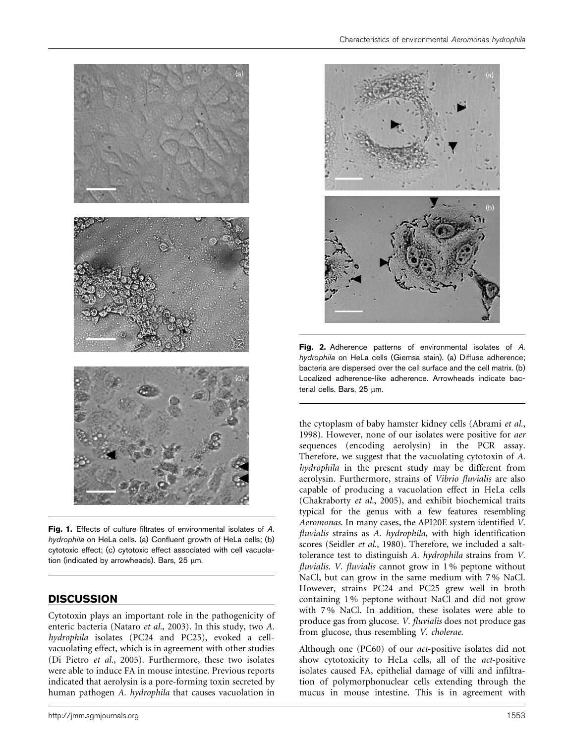

Fig. 1. Effects of culture filtrates of environmental isolates of A. hydrophila on HeLa cells. (a) Confluent growth of HeLa cells; (b) cytotoxic effect; (c) cytotoxic effect associated with cell vacuolation (indicated by arrowheads). Bars,  $25 \mu m$ .

## **DISCUSSION**

Cytotoxin plays an important role in the pathogenicity of enteric bacteria (Nataro et al., 2003). In this study, two A. hydrophila isolates (PC24 and PC25), evoked a cellvacuolating effect, which is in agreement with other studies (Di Pietro et al., 2005). Furthermore, these two isolates were able to induce FA in mouse intestine. Previous reports indicated that aerolysin is a pore-forming toxin secreted by human pathogen A. hydrophila that causes vacuolation in



Fig. 2. Adherence patterns of environmental isolates of A. hydrophila on HeLa cells (Giemsa stain). (a) Diffuse adherence; bacteria are dispersed over the cell surface and the cell matrix. (b) Localized adherence-like adherence. Arrowheads indicate bacterial cells. Bars,  $25 \mu m$ .

the cytoplasm of baby hamster kidney cells (Abrami et al., 1998). However, none of our isolates were positive for aer sequences (encoding aerolysin) in the PCR assay. Therefore, we suggest that the vacuolating cytotoxin of A. hydrophila in the present study may be different from aerolysin. Furthermore, strains of Vibrio fluvialis are also capable of producing a vacuolation effect in HeLa cells (Chakraborty et al., 2005), and exhibit biochemical traits typical for the genus with a few features resembling Aeromonas. In many cases, the API20E system identified V. fluvialis strains as A. hydrophila, with high identification scores (Seidler et al., 1980). Therefore, we included a salttolerance test to distinguish A. hydrophila strains from V. fluvialis. V. fluvialis cannot grow in 1% peptone without NaCl, but can grow in the same medium with 7 % NaCl. However, strains PC24 and PC25 grew well in broth containing 1 % peptone without NaCl and did not grow with 7 % NaCl. In addition, these isolates were able to produce gas from glucose. V. fluvialis does not produce gas from glucose, thus resembling V. cholerae.

Although one (PC60) of our act-positive isolates did not show cytotoxicity to HeLa cells, all of the act-positive isolates caused FA, epithelial damage of villi and infiltration of polymorphonuclear cells extending through the mucus in mouse intestine. This is in agreement with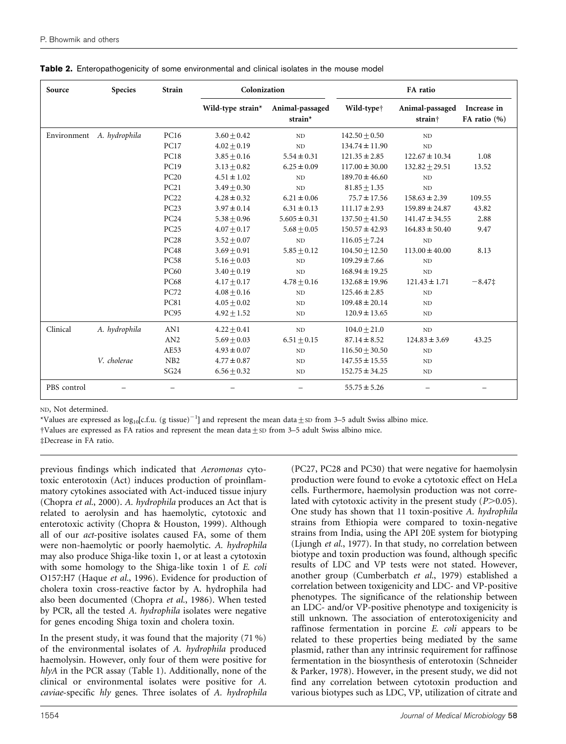| Source      | <b>Species</b> | <b>Strain</b> | Colonization      |                            | FA ratio               |                                        |                              |  |
|-------------|----------------|---------------|-------------------|----------------------------|------------------------|----------------------------------------|------------------------------|--|
|             |                |               | Wild-type strain* | Animal-passaged<br>strain* | Wild-type <sup>+</sup> | Animal-passaged<br>strain <sup>+</sup> | Increase in<br>FA ratio $(%$ |  |
| Environment | A. hydrophila  | <b>PC16</b>   | $3.60 + 0.42$     | ND                         | $142.50 + 0.50$        | ND                                     |                              |  |
|             |                | <b>PC17</b>   | $4.02 + 0.19$     | ND                         | $134.74 \pm 11.90$     | ND                                     |                              |  |
|             |                | <b>PC18</b>   | $3.85 + 0.16$     | $5.54 \pm 0.31$            | $121.35 \pm 2.85$      | $122.67 \pm 10.34$                     | 1.08                         |  |
|             |                | <b>PC19</b>   | $3.13 + 0.82$     | $6.25 \pm 0.09$            | $117.00 \pm 30.00$     | $132.82 + 29.51$                       | 13.52                        |  |
|             |                | <b>PC20</b>   | $4.51 \pm 1.02$   | ND                         | $189.70 \pm 46.60$     | ND.                                    |                              |  |
|             |                | PC21          | $3.49 + 0.30$     | ND                         | $81.85 \pm 1.35$       | ND                                     |                              |  |
|             |                | <b>PC22</b>   | $4.28 \pm 0.32$   | $6.21 \pm 0.06$            | $75.7 \pm 17.56$       | $158.63 \pm 2.39$                      | 109.55                       |  |
|             |                | <b>PC23</b>   | $3.97 \pm 0.14$   | $6.31 \pm 0.13$            | $111.17 \pm 2.93$      | $159.89 \pm 24.87$                     | 43.82                        |  |
|             |                | <b>PC24</b>   | $5.38 + 0.96$     | $5.605 \pm 0.31$           | $137.50 + 41.50$       | $141.47 \pm 34.55$                     | 2.88                         |  |
|             |                | <b>PC25</b>   | $4.07 + 0.17$     | $5.68 \pm 0.05$            | $150.57 \pm 42.93$     | $164.83 \pm 50.40$                     | 9.47                         |  |
|             |                | <b>PC28</b>   | $3.52 \pm 0.07$   | <b>ND</b>                  | $116.05 \pm 7.24$      | ND                                     |                              |  |
|             |                | <b>PC48</b>   | $3.69 + 0.91$     | $5.85 + 0.12$              | $104.50 \pm 12.50$     | $113.00 \pm 40.00$                     | 8.13                         |  |
|             |                | <b>PC58</b>   | $5.16 \pm 0.03$   | ND                         | $109.29 \pm 7.66$      | ND                                     |                              |  |
|             |                | <b>PC60</b>   | $3.40 + 0.19$     | ND                         | $168.94 \pm 19.25$     | ND                                     |                              |  |
|             |                | <b>PC68</b>   | $4.17 \pm 0.17$   | $4.78 + 0.16$              | $132.68 \pm 19.96$     | $121.43 \pm 1.71$                      | $-8.47\ddagger$              |  |
|             |                | <b>PC72</b>   | $4.08 \pm 0.16$   | ND                         | $125.46 \pm 2.85$      | ND.                                    |                              |  |
|             |                | <b>PC81</b>   | $4.05 \pm 0.02$   | <b>ND</b>                  | $109.48 \pm 20.14$     | <b>ND</b>                              |                              |  |
|             |                | <b>PC95</b>   | $4.92 \pm 1.52$   | ND.                        | $120.9 \pm 13.65$      | ND.                                    |                              |  |
| Clinical    | A. hydrophila  | AN1           | $4.22 + 0.41$     | ND                         | $104.0 + 21.0$         | ND                                     |                              |  |
|             |                | AN2           | $5.69 \pm 0.03$   | $6.51 \pm 0.15$            | $87.14 \pm 8.52$       | $124.83 \pm 3.69$                      | 43.25                        |  |
|             |                | AE53          | $4.93 \pm 0.07$   | ND                         | $116.50 \pm 30.50$     | ND                                     |                              |  |
|             | V. cholerae    | NB2           | $4.77 \pm 0.87$   | ND                         | $147.55 \pm 15.55$     | ND                                     |                              |  |
|             |                | <b>SG24</b>   | $6.56 \pm 0.32$   | ND                         | $152.75 \pm 34.25$     | ND                                     |                              |  |
| PBS control |                |               |                   |                            | $55.75 \pm 5.26$       |                                        |                              |  |

|  | Table 2. Enteropathogenicity of some environmental and clinical isolates in the mouse model |  |  |  |  |
|--|---------------------------------------------------------------------------------------------|--|--|--|--|
|--|---------------------------------------------------------------------------------------------|--|--|--|--|

ND, Not determined.

\*Values are expressed as log<sub>10</sub>[c.f.u. (g tissue)<sup>-1</sup>] and represent the mean data±sD from 3–5 adult Swiss albino mice.

 $\dagger$ Values are expressed as FA ratios and represent the mean data $\pm$  sD from 3–5 adult Swiss albino mice.

 $\ddagger$ Decrease in FA ratio.

previous findings which indicated that Aeromonas cytotoxic enterotoxin (Act) induces production of proinflammatory cytokines associated with Act-induced tissue injury (Chopra et al., 2000). A. hydrophila produces an Act that is related to aerolysin and has haemolytic, cytotoxic and enterotoxic activity (Chopra & Houston, 1999). Although all of our act-positive isolates caused FA, some of them were non-haemolytic or poorly haemolytic. A. hydrophila may also produce Shiga-like toxin 1, or at least a cytotoxin with some homology to the Shiga-like toxin 1 of E. coli O157:H7 (Haque et al., 1996). Evidence for production of cholera toxin cross-reactive factor by A. hydrophila had also been documented (Chopra et al., 1986). When tested by PCR, all the tested A. hydrophila isolates were negative for genes encoding Shiga toxin and cholera toxin.

In the present study, it was found that the majority (71 %) of the environmental isolates of A. hydrophila produced haemolysin. However, only four of them were positive for hlyA in the PCR assay (Table 1). Additionally, none of the clinical or environmental isolates were positive for A. caviae-specific hly genes. Three isolates of A. hydrophila

(PC27, PC28 and PC30) that were negative for haemolysin production were found to evoke a cytotoxic effect on HeLa cells. Furthermore, haemolysin production was not correlated with cytotoxic activity in the present study  $(P>0.05)$ . One study has shown that 11 toxin-positive A. hydrophila strains from Ethiopia were compared to toxin-negative strains from India, using the API 20E system for biotyping (Ljungh et al., 1977). In that study, no correlation between biotype and toxin production was found, although specific results of LDC and VP tests were not stated. However, another group (Cumberbatch et al., 1979) established a correlation between toxigenicity and LDC- and VP-positive phenotypes. The significance of the relationship between an LDC- and/or VP-positive phenotype and toxigenicity is still unknown. The association of enterotoxigenicity and raffinose fermentation in porcine E. coli appears to be related to these properties being mediated by the same plasmid, rather than any intrinsic requirement for raffinose fermentation in the biosynthesis of enterotoxin (Schneider & Parker, 1978). However, in the present study, we did not find any correlation between cytotoxin production and various biotypes such as LDC, VP, utilization of citrate and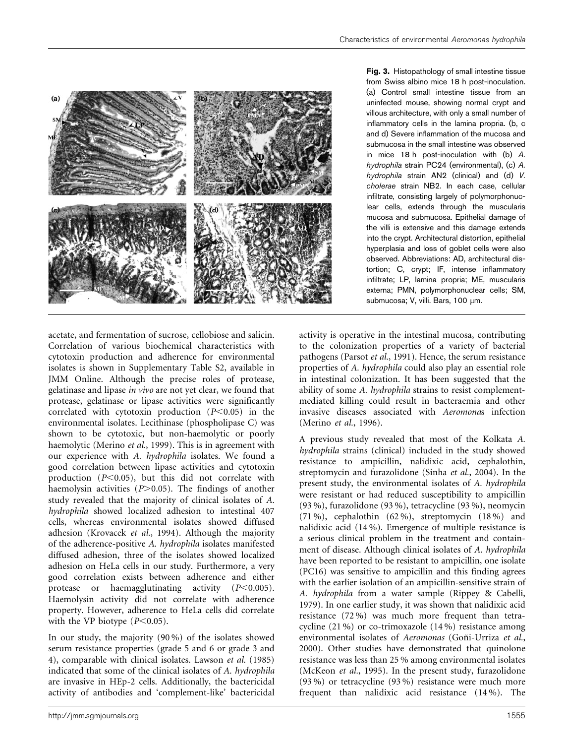

Fig. 3. Histopathology of small intestine tissue from Swiss albino mice 18 h post-inoculation. (a) Control small intestine tissue from an uninfected mouse, showing normal crypt and villous architecture, with only a small number of inflammatory cells in the lamina propria. (b, c and d) Severe inflammation of the mucosa and submucosa in the small intestine was observed in mice 18 h post-inoculation with (b) A. hydrophila strain PC24 (environmental), (c) A. hydrophila strain AN2 (clinical) and (d) V. cholerae strain NB2. In each case, cellular infiltrate, consisting largely of polymorphonuclear cells, extends through the muscularis mucosa and submucosa. Epithelial damage of the villi is extensive and this damage extends into the crypt. Architectural distortion, epithelial hyperplasia and loss of goblet cells were also observed. Abbreviations: AD, architectural distortion; C, crypt; IF, intense inflammatory infiltrate; LP, lamina propria; ME, muscularis externa; PMN, polymorphonuclear cells; SM, submucosa; V, villi. Bars, 100 µm.

acetate, and fermentation of sucrose, cellobiose and salicin. Correlation of various biochemical characteristics with cytotoxin production and adherence for environmental isolates is shown in Supplementary Table S2, available in JMM Online. Although the precise roles of protease, gelatinase and lipase in vivo are not yet clear, we found that protease, gelatinase or lipase activities were significantly correlated with cytotoxin production  $(P<0.05)$  in the environmental isolates. Lecithinase (phospholipase C) was shown to be cytotoxic, but non-haemolytic or poorly haemolytic (Merino et al., 1999). This is in agreement with our experience with A. hydrophila isolates. We found a good correlation between lipase activities and cytotoxin production  $(P<0.05)$ , but this did not correlate with haemolysin activities  $(P>0.05)$ . The findings of another study revealed that the majority of clinical isolates of A. hydrophila showed localized adhesion to intestinal 407 cells, whereas environmental isolates showed diffused adhesion (Krovacek et al., 1994). Although the majority of the adherence-positive A. hydrophila isolates manifested diffused adhesion, three of the isolates showed localized adhesion on HeLa cells in our study. Furthermore, a very good correlation exists between adherence and either protease or haemagglutinating activity  $(P<0.005)$ . Haemolysin activity did not correlate with adherence property. However, adherence to HeLa cells did correlate with the VP biotype  $(P<0.05)$ .

In our study, the majority (90 %) of the isolates showed serum resistance properties (grade 5 and 6 or grade 3 and 4), comparable with clinical isolates. Lawson et al. (1985) indicated that some of the clinical isolates of A. hydrophila are invasive in HEp-2 cells. Additionally, the bactericidal activity of antibodies and 'complement-like' bactericidal activity is operative in the intestinal mucosa, contributing to the colonization properties of a variety of bacterial pathogens (Parsot et al., 1991). Hence, the serum resistance properties of A. hydrophila could also play an essential role in intestinal colonization. It has been suggested that the ability of some A. hydrophila strains to resist complementmediated killing could result in bacteraemia and other invasive diseases associated with Aeromonas infection (Merino et al., 1996).

A previous study revealed that most of the Kolkata A. hydrophila strains (clinical) included in the study showed resistance to ampicillin, nalidixic acid, cephalothin, streptomycin and furazolidone (Sinha et al., 2004). In the present study, the environmental isolates of A. hydrophila were resistant or had reduced susceptibility to ampicillin (93 %), furazolidone (93 %), tetracycline (93 %), neomycin (71 %), cephalothin (62 %), streptomycin (18 %) and nalidixic acid (14 %). Emergence of multiple resistance is a serious clinical problem in the treatment and containment of disease. Although clinical isolates of A. hydrophila have been reported to be resistant to ampicillin, one isolate (PC16) was sensitive to ampicillin and this finding agrees with the earlier isolation of an ampicillin-sensitive strain of A. hydrophila from a water sample (Rippey & Cabelli, 1979). In one earlier study, it was shown that nalidixic acid resistance (72 %) was much more frequent than tetracycline (21 %) or co-trimoxazole (14 %) resistance among environmental isolates of Aeromonas (Goñi-Urriza et al., 2000). Other studies have demonstrated that quinolone resistance was less than 25 % among environmental isolates (McKeon et al., 1995). In the present study, furazolidone (93 %) or tetracycline (93 %) resistance were much more frequent than nalidixic acid resistance (14 %). The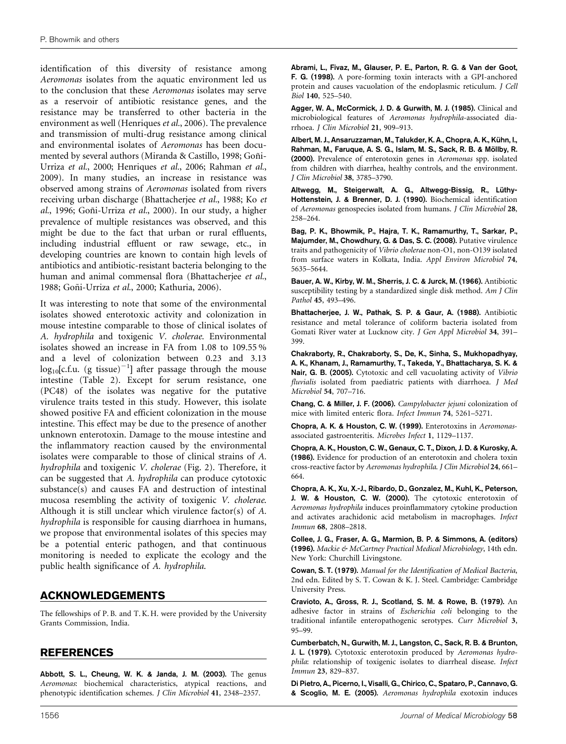identification of this diversity of resistance among Aeromonas isolates from the aquatic environment led us to the conclusion that these Aeromonas isolates may serve as a reservoir of antibiotic resistance genes, and the resistance may be transferred to other bacteria in the environment as well (Henriques et al., 2006). The prevalence and transmission of multi-drug resistance among clinical and environmental isolates of Aeromonas has been documented by several authors (Miranda & Castillo, 1998; Goñi-Urriza et al., 2000; Henriques et al., 2006; Rahman et al., 2009). In many studies, an increase in resistance was observed among strains of Aeromonas isolated from rivers receiving urban discharge (Bhattacherjee et al., 1988; Ko et al., 1996; Goñi-Urriza et al., 2000). In our study, a higher prevalence of multiple resistances was observed, and this might be due to the fact that urban or rural effluents, including industrial effluent or raw sewage, etc., in developing countries are known to contain high levels of antibiotics and antibiotic-resistant bacteria belonging to the human and animal commensal flora (Bhattacherjee et al., 1988; Goñi-Urriza et al., 2000; Kathuria, 2006).

It was interesting to note that some of the environmental isolates showed enterotoxic activity and colonization in mouse intestine comparable to those of clinical isolates of A. hydrophila and toxigenic V. cholerae. Environmental isolates showed an increase in FA from 1.08 to 109.55 % and a level of colonization between 0.23 and 3.13  $\log_{10}$ [c.f.u. (g tissue) $^{-1}$ ] after passage through the mouse intestine (Table 2). Except for serum resistance, one (PC48) of the isolates was negative for the putative virulence traits tested in this study. However, this isolate showed positive FA and efficient colonization in the mouse intestine. This effect may be due to the presence of another unknown enterotoxin. Damage to the mouse intestine and the inflammatory reaction caused by the environmental isolates were comparable to those of clinical strains of A. hydrophila and toxigenic V. cholerae (Fig. 2). Therefore, it can be suggested that A. hydrophila can produce cytotoxic substance(s) and causes FA and destruction of intestinal mucosa resembling the activity of toxigenic V. cholerae. Although it is still unclear which virulence factor(s) of A. hydrophila is responsible for causing diarrhoea in humans, we propose that environmental isolates of this species may be a potential enteric pathogen, and that continuous monitoring is needed to explicate the ecology and the public health significance of A. hydrophila.

### ACKNOWLEDGEMENTS

The fellowships of P. B. and T. K. H. were provided by the University Grants Commission, India.

## REFERENCES

Abbott, S. L., Cheung, W. K. & Janda, J. M. (2003). The genus Aeromonas: biochemical characteristics, atypical reactions, and phenotypic identification schemes. J Clin Microbiol 41, 2348–2357.

Abrami, L., Fivaz, M., Glauser, P. E., Parton, R. G. & Van der Goot, F. G. (1998). A pore-forming toxin interacts with a GPI-anchored protein and causes vacuolation of the endoplasmic reticulum. J Cell Biol 140, 525–540.

Agger, W. A., McCormick, J. D. & Gurwith, M. J. (1985). Clinical and microbiological features of Aeromonas hydrophila-associated diarrhoea. J Clin Microbiol 21, 909–913.

Albert, M. J., Ansaruzzaman, M., Talukder, K. A., Chopra, A. K., Kühn, I., Rahman, M., Faruque, A. S. G., Islam, M. S., Sack, R. B. & Möllby, R. (2000). Prevalence of enterotoxin genes in Aeromonas spp. isolated from children with diarrhea, healthy controls, and the environment. J Clin Microbiol 38, 3785–3790.

Altwegg, M., Steigerwalt, A. G., Altwegg-Bissig, R., Lüthy-Hottenstein, J. & Brenner, D. J. (1990). Biochemical identification of Aeromonas genospecies isolated from humans. J Clin Microbiol 28, 258–264.

Bag, P. K., Bhowmik, P., Hajra, T. K., Ramamurthy, T., Sarkar, P., Majumder, M., Chowdhury, G. & Das, S. C. (2008). Putative virulence traits and pathogenicity of Vibrio cholerae non-O1, non-O139 isolated from surface waters in Kolkata, India. Appl Environ Microbiol 74, 5635–5644.

Bauer, A. W., Kirby, W. M., Sherris, J. C. & Jurck, M. (1966). Antibiotic susceptibility testing by a standardized single disk method. Am J Clin Pathol 45, 493–496.

Bhattacherjee, J. W., Pathak, S. P. & Gaur, A. (1988). Antibiotic resistance and metal tolerance of coliform bacteria isolated from Gomati River water at Lucknow city. J Gen Appl Microbiol 34, 391– 399.

Chakraborty, R., Chakraborty, S., De, K., Sinha, S., Mukhopadhyay, A. K., Khanam, J., Ramamurthy, T., Takeda, Y., Bhattacharya, S. K. & Nair, G. B. (2005). Cytotoxic and cell vacuolating activity of Vibrio fluvialis isolated from paediatric patients with diarrhoea. J Med Microbiol 54, 707–716.

Chang, C. & Miller, J. F. (2006). Campylobacter jejuni colonization of mice with limited enteric flora. Infect Immun 74, 5261–5271.

Chopra, A. K. & Houston, C. W. (1999). Enterotoxins in Aeromonasassociated gastroenteritis. Microbes Infect 1, 1129–1137.

Chopra, A. K., Houston, C. W., Genaux, C. T., Dixon, J. D. & Kurosky, A. (1986). Evidence for production of an enterotoxin and cholera toxin cross-reactive factor by Aeromonas hydrophila. J Clin Microbiol 24, 661– 664.

Chopra, A. K., Xu, X.-J., Ribardo, D., Gonzalez, M., Kuhl, K., Peterson, J. W. & Houston, C. W. (2000). The cytotoxic enterotoxin of Aeromonas hydrophila induces proinflammatory cytokine production and activates arachidonic acid metabolism in macrophages. Infect Immun 68, 2808–2818.

Collee, J. G., Fraser, A. G., Marmion, B. P. & Simmons, A. (editors) (1996). Mackie & McCartney Practical Medical Microbiology, 14th edn. New York: Churchill Livingstone.

Cowan, S. T. (1979). Manual for the Identification of Medical Bacteria, 2nd edn. Edited by S. T. Cowan & K. J. Steel. Cambridge: Cambridge University Press.

Cravioto, A., Gross, R. J., Scotland, S. M. & Rowe, B. (1979). An adhesive factor in strains of Escherichia coli belonging to the traditional infantile enteropathogenic serotypes. Curr Microbiol 3, 95–99.

Cumberbatch, N., Gurwith, M. J., Langston, C., Sack, R. B. & Brunton, J. L. (1979). Cytotoxic enterotoxin produced by Aeromonas hydrophila: relationship of toxigenic isolates to diarrheal disease. Infect Immun 23, 829–837.

Di Pietro, A., Picerno, I., Visalli, G., Chirico, C., Spataro, P., Cannavo, G. & Scoglio, M. E. (2005). Aeromonas hydrophila exotoxin induces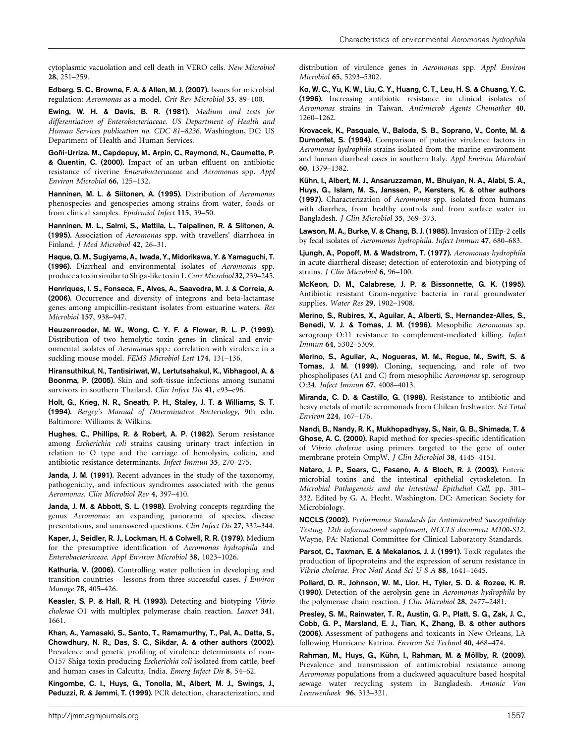cytoplasmic vacuolation and cell death in VERO cells. New Microbiol 28, 251–259.

Edberg, S. C., Browne, F. A. & Allen, M. J. (2007). Issues for microbial regulation: Aeromonas as a model. Crit Rev Microbiol 33, 89–100.

Ewing, W. H. & Davis, B. R. (1981). Medium and tests for differentiation of Enterobacteriaceae. US Department of Health and Human Services publication no. CDC 81–8236. Washington, DC: US Department of Health and Human Services.

Goñi-Urriza, M., Capdepuy, M., Arpin, C., Raymond, N., Caumette, P. & Quentin, C. (2000). Impact of an urban effluent on antibiotic resistance of riverine Enterobacteriaceae and Aeromonas spp. Appl Environ Microbiol 66, 125–132.

Hanninen, M. L. & Siitonen, A. (1995). Distribution of Aeromonas phenospecies and genospecies among strains from water, foods or from clinical samples. Epidemiol Infect 115, 39–50.

Hanninen, M. L., Salmi, S., Mattila, L., Taipalinen, R. & Siitonen, A. (1995). Association of Aeromonas spp. with travellers' diarrhoea in Finland. J Med Microbiol 42, 26–31.

Haque, Q. M., Sugiyama, A., Iwada, Y., Midorikawa, Y. & Yamaguchi, T. (1996). Diarrheal and environmental isolates of Aeromonas spp. produce a toxin similar to Shiga-like toxin 1.Curr Microbiol 32, 239–245.

Henriques, I. S., Fonseca, F., Alves, A., Saavedra, M. J. & Correia, A. (2006). Occurrence and diversity of integrons and beta-lactamase genes among ampicillin-resistant isolates from estuarine waters. Res Microbiol 157, 938–947.

Heuzenroeder, M. W., Wong, C. Y. F. & Flower, R. L. P. (1999). Distribution of two hemolytic toxin genes in clinical and environmental isolates of Aeromonas spp.: correlation with virulence in a suckling mouse model. FEMS Microbiol Lett 174, 131–136.

Hiransuthikul, N., Tantisiriwat, W., Lertutsahakul, K., Vibhagool, A. & Boonma, P. (2005). Skin and soft-tissue infections among tsunami survivors in southern Thailand. Clin Infect Dis 41, e93-e96.

Holt, G., Krieg, N. R., Sneath, P. H., Staley, J. T. & Williams, S. T. (1994). Bergey's Manual of Determinative Bacteriology, 9th edn. Baltimore: Williams & Wilkins.

Hughes, C., Phillips, R. & Robert, A. P. (1982). Serum resistance among Escherichia coli strains causing urinary tract infection in relation to O type and the carriage of hemolysin, colicin, and antibiotic resistance determinants. Infect Immun 35, 270–275.

Janda, J. M. (1991). Recent advances in the study of the taxonomy, pathogenicity, and infectious syndromes associated with the genus Aeromonas. Clin Microbiol Rev 4, 397–410.

Janda, J. M. & Abbott, S. L. (1998). Evolving concepts regarding the genus Aeromonas: an expanding panorama of species, disease presentations, and unanswered questions. Clin Infect Dis 27, 332–344.

Kaper, J., Seidler, R. J., Lockman, H. & Colwell, R. R. (1979). Medium for the presumptive identification of Aeromonas hydrophila and Enterobacteriaceae. Appl Environ Microbiol 38, 1023–1026.

Kathuria, V. (2006). Controlling water pollution in developing and transition countries – lessons from three successful cases. J Environ Manage 78, 405–426.

Keasler, S. P. & Hall, R. H. (1993). Detecting and biotyping Vibrio cholerae O1 with multiplex polymerase chain reaction. Lancet 341, 1661.

Khan, A., Yamasaki, S., Santo, T., Ramamurthy, T., Pal, A., Datta, S., Chowdhury, N. R., Das, S. C., Sikdar, A. & other authors (2002). Prevalence and genetic profiling of virulence determinants of non-O157 Shiga toxin producing Escherichia coli isolated from cattle, beef and human cases in Calcutta, India. Emerg Infect Dis 8, 54–62.

Kingombe, C. I., Huys, G., Tonolla, M., Albert, M. J., Swings, J., Peduzzi, R. & Jemmi, T. (1999). PCR detection, characterization, and distribution of virulence genes in Aeromonas spp. Appl Environ Microbiol 65, 5293–5302.

Ko, W. C., Yu, K. W., Liu, C. Y., Huang, C. T., Leu, H. S. & Chuang, Y. C. (1996). Increasing antibiotic resistance in clinical isolates of Aeromonas strains in Taiwan. Antimicrob Agents Chemother 40, 1260–1262.

Krovacek, K., Pasquale, V., Baloda, S. B., Soprano, V., Conte, M. & Dumontet, S. (1994). Comparison of putative virulence factors in Aeromonas hydrophila strains isolated from the marine environment and human diarrheal cases in southern Italy. Appl Environ Microbiol 60, 1379–1382.

Kühn, I., Albert, M. J., Ansaruzzaman, M., Bhuiyan, N. A., Alabi, S. A., Huys, G., Islam, M. S., Janssen, P., Kersters, K. & other authors (1997). Characterization of Aeromonas spp. isolated from humans with diarrhea, from healthy controls and from surface water in Bangladesh. J Clin Microbiol 35, 369–373.

Lawson, M. A., Burke, V. & Chang, B. J. (1985). Invasion of HEp-2 cells by fecal isolates of Aeromonas hydrophila. Infect Immun 47, 680–683.

Ljungh, A., Popoff, M. & Wadstrom, T. (1977). Aeromonas hydrophila in acute diarrheral disease; detection of enterotoxin and biotyping of strains. J Clin Microbiol 6, 96–100.

McKeon, D. M., Calabrese, J. P. & Bissonnette, G. K. (1995). Antibiotic resistant Gram-negative bacteria in rural groundwater supplies. Water Res 29, 1902–1908.

Merino, S., Rubires, X., Aguilar, A., Alberti, S., Hernandez-Alles, S., Benedi, V. J. & Tomas, J. M. (1996). Mesophilic Aeromonas sp. serogroup O:11 resistance to complement-mediated killing. Infect Immun 64, 5302–5309.

Merino, S., Aguilar, A., Nogueras, M. M., Regue, M., Swift, S. & Tomas, J. M. (1999). Cloning, sequencing, and role of two phospholipases (A1 and C) from mesophilic Aeromonas sp. serogroup O:34. Infect Immun 67, 4008–4013.

Miranda, C. D. & Castillo, G. (1998). Resistance to antibiotic and heavy metals of motile aeromonads from Chilean freshwater. Sci Total Environ 224, 167–176.

Nandi, B., Nandy, R. K., Mukhopadhyay, S., Nair, G. B., Shimada, T. & Ghose, A. C. (2000). Rapid method for species-specific identification of Vibrio cholerae using primers targeted to the gene of outer membrane protein OmpW. J Clin Microbiol 38, 4145–4151.

Nataro, J. P., Sears, C., Fasano, A. & Bloch, R. J. (2003). Enteric microbial toxins and the intestinal epithelial cytoskeleton. In Microbial Pathogenesis and the Intestinal Epithelial Cell, pp. 301– 332. Edited by G. A. Hecht. Washington, DC: American Society for Microbiology.

NCCLS (2002). Performance Standards for Antimicrobial Susceptibility Testing. 12th informational supplement, NCCLS document M100-S12. Wayne, PA: National Committee for Clinical Laboratory Standards.

Parsot, C., Taxman, E. & Mekalanos, J. J. (1991). ToxR regulates the production of lipoproteins and the expression of serum resistance in Vibrio cholerae. Proc Natl Acad Sci U S A 88, 1641–1645.

Pollard, D. R., Johnson, W. M., Lior, H., Tyler, S. D. & Rozee, K. R. (1990). Detection of the aerolysin gene in Aeromonas hydrophila by the polymerase chain reaction. J Clin Microbiol 28, 2477–2481.

Presley, S. M., Rainwater, T. R., Austin, G. P., Platt, S. G., Zak, J. C., Cobb, G. P., Marsland, E. J., Tian, K., Zhang, B. & other authors (2006). Assessment of pathogens and toxicants in New Orleans, LA following Hurricane Katrina. Environ Sci Technol 40, 468–474.

Rahman, M., Huys, G., Kühn, I., Rahman, M. & Möllby, R. (2009). Prevalence and transmission of antimicrobial resistance among Aeromonas populations from a duckweed aquaculture based hospital sewage water recycling system in Bangladesh. Antonie Van Leeuwenhoek 96, 313–321.